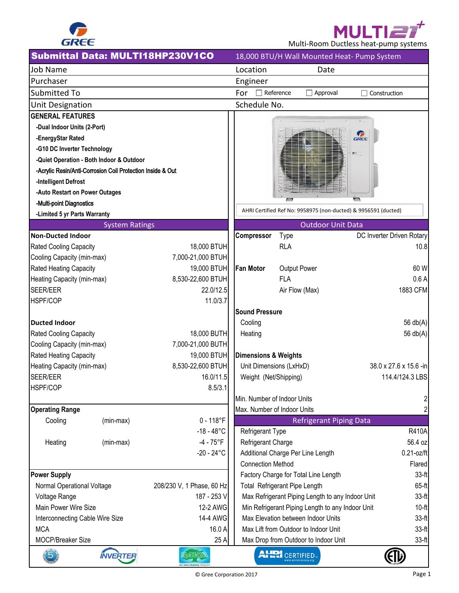

**MULTIE** Multi-Room Ductless heat-pump systems

|                                                      |                                                            | Submittal Data: MULTI18HP230V1CO |                               |                       | 18,000 BTU/H Wall Mounted Heat- Pump System                    |      |                           |
|------------------------------------------------------|------------------------------------------------------------|----------------------------------|-------------------------------|-----------------------|----------------------------------------------------------------|------|---------------------------|
| Job Name                                             |                                                            |                                  | Location                      |                       | Date                                                           |      |                           |
| Purchaser                                            |                                                            |                                  | Engineer                      |                       |                                                                |      |                           |
| <b>Submitted To</b>                                  |                                                            |                                  | $\Box$ Reference<br>For       |                       | $\Box$ Approval                                                |      | Construction              |
| Unit Designation                                     |                                                            |                                  | Schedule No.                  |                       |                                                                |      |                           |
| <b>GENERAL FEATURES</b>                              |                                                            |                                  |                               |                       |                                                                |      |                           |
| -Dual Indoor Units (2-Port)                          |                                                            |                                  |                               |                       |                                                                |      |                           |
| -EnergyStar Rated                                    |                                                            |                                  |                               |                       |                                                                | GREE |                           |
| -G10 DC Inverter Technology                          |                                                            |                                  |                               |                       |                                                                |      |                           |
|                                                      | -Quiet Operation - Both Indoor & Outdoor                   |                                  |                               |                       |                                                                |      |                           |
|                                                      | -Acrylic Resin/Anti-Corrosion Coil Protection Inside & Out |                                  |                               |                       |                                                                |      |                           |
| -Intelligent Defrost                                 |                                                            |                                  |                               |                       |                                                                |      |                           |
| -Auto Restart on Power Outages                       |                                                            |                                  |                               |                       |                                                                |      |                           |
| -Multi-point Diagnostics                             |                                                            |                                  |                               |                       | AHRI Certified Ref No: 9958975 (non-ducted) & 9956591 (ducted) |      |                           |
| -Limited 5 yr Parts Warranty                         |                                                            |                                  |                               |                       |                                                                |      |                           |
|                                                      | <b>System Ratings</b>                                      |                                  |                               |                       | <b>Outdoor Unit Data</b>                                       |      |                           |
| <b>Non-Ducted Indoor</b>                             |                                                            |                                  | Compressor                    | <b>Type</b>           |                                                                |      | DC Inverter Driven Rotary |
| <b>Rated Cooling Capacity</b>                        |                                                            | 18,000 BTUH                      |                               | <b>RLA</b>            |                                                                |      | 10.8                      |
| Cooling Capacity (min-max)                           |                                                            | 7,000-21,000 BTUH                |                               |                       |                                                                |      |                           |
| Rated Heating Capacity                               |                                                            | 19,000 BTUH                      | <b>Fan Motor</b>              |                       | Output Power                                                   |      | 60 W                      |
| Heating Capacity (min-max)                           |                                                            | 8,530-22,600 BTUH                |                               | <b>FLA</b>            |                                                                |      | 0.6A                      |
| SEER/EER                                             |                                                            | 22.0/12.5                        |                               |                       | Air Flow (Max)                                                 |      | 1883 CFM                  |
| HSPF/COP                                             |                                                            | 11.0/3.7                         |                               |                       |                                                                |      |                           |
|                                                      |                                                            |                                  | <b>Sound Pressure</b>         |                       |                                                                |      |                           |
| Ducted Indoor                                        |                                                            | 18,000 BUTH                      | Cooling                       |                       |                                                                |      | 56 $db(A)$                |
| Rated Cooling Capacity<br>Cooling Capacity (min-max) |                                                            | 7,000-21,000 BUTH                | Heating                       |                       |                                                                |      | 56 $db(A)$                |
| Rated Heating Capacity                               |                                                            | 19,000 BTUH                      | Dimensions & Weights          |                       |                                                                |      |                           |
| Heating Capacity (min-max)                           |                                                            | 8,530-22,600 BTUH                | Unit Dimensions (LxHxD)       |                       |                                                                |      | 38.0 x 27.6 x 15.6 -in    |
| SEER/EER                                             |                                                            | 16.0/11.5                        | Weight (Net/Shipping)         |                       |                                                                |      | 114.4/124.3 LBS           |
| HSPF/COP                                             |                                                            | 8.5/3.1                          |                               |                       |                                                                |      |                           |
|                                                      |                                                            |                                  | Min. Number of Indoor Units   |                       |                                                                |      | $\overline{2}$            |
| <b>Operating Range</b>                               |                                                            |                                  | Max. Number of Indoor Units   |                       |                                                                |      | $\overline{2}$            |
| Cooling                                              | (min-max)                                                  | $0 - 118$ °F                     |                               |                       | <b>Refrigerant Piping Data</b>                                 |      |                           |
|                                                      |                                                            | $-18 - 48^{\circ}$ C             | Refrigerant Type              |                       |                                                                |      | <b>R410A</b>              |
| Heating                                              | (min-max)                                                  | $-4 - 75^{\circ}F$               | Refrigerant Charge            |                       |                                                                |      | 56.4 oz                   |
|                                                      |                                                            | $-20 - 24$ °C                    |                               |                       | Additional Charge Per Line Length                              |      | $0.21$ -oz/ft             |
|                                                      |                                                            |                                  | <b>Connection Method</b>      |                       |                                                                |      | Flared                    |
| <b>Power Supply</b>                                  |                                                            |                                  |                               |                       | Factory Charge for Total Line Length                           |      | $33-f1$                   |
| Normal Operational Voltage                           |                                                            | 208/230 V, 1 Phase, 60 Hz        | Total Refrigerant Pipe Length |                       |                                                                |      | 65-ft                     |
| Voltage Range                                        |                                                            | 187 - 253 V                      |                               |                       | Max Refrigerant Piping Length to any Indoor Unit               |      | $33-ft$                   |
| Main Power Wire Size                                 |                                                            | 12-2 AWG                         |                               |                       | Min Refrigerant Piping Length to any Indoor Unit               |      | $10-ft$                   |
| Interconnecting Cable Wire Size                      |                                                            | 14-4 AWG                         |                               |                       | Max Elevation between Indoor Units                             |      | $33-f1$                   |
| <b>MCA</b>                                           |                                                            | 16.0 A                           |                               |                       | Max Lift from Outdoor to Indoor Unit                           |      | $33-f1$                   |
| MOCP/Breaker Size                                    |                                                            | 25 A                             |                               |                       | Max Drop from Outdoor to Indoor Unit                           |      | $33-f1$                   |
| 5                                                    | <b>INVERTER</b>                                            | R45102                           |                               | <b>AHRI</b> CERTIFIED |                                                                |      |                           |

┚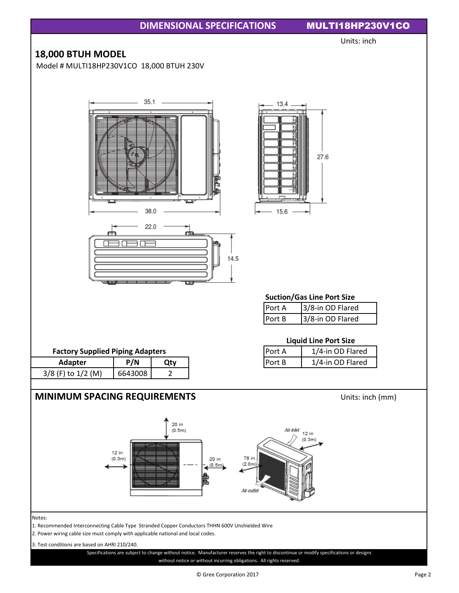

© Gree Corporation 2017 Page 2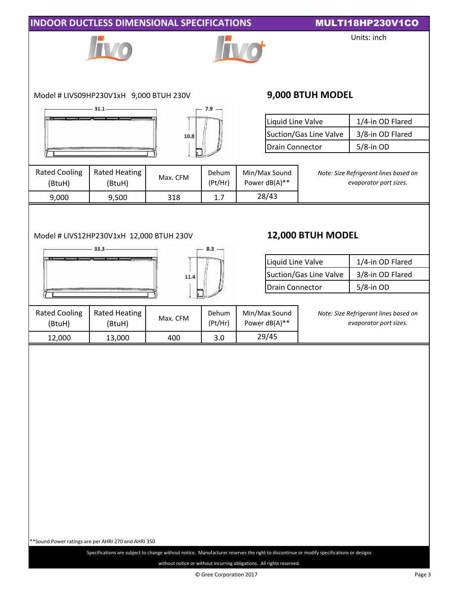| Model # LIVS09HP230V1xH 9,000 BTUH 230V<br><b>Rated Heating</b><br>Max. CFM<br>(BtuH)<br>9,500<br>318<br>Model # LIVS12HP230V1xH 12,000 BTUH 230V | $7.9 -$<br>10.8<br>Dehum<br>(Pt/Hr)<br>1.7<br>$8.3 -$<br>11.4 | Liquid Line Valve<br>Drain Connector<br>Min/Max Sound<br>Power dB(A)**<br>28/43<br>Liquid Line Valve | 9,000 BTUH MODEL<br>Suction/Gas Line Valve<br>12,000 BTUH MODEL<br>Suction/Gas Line Valve | Units: inch<br>1/4-in OD Flared<br>3/8-in OD Flared<br>5/8-in OD<br>Note: Size Refrigerant lines based on<br>evaporator port sizes.<br>1/4-in OD Flared |  |
|---------------------------------------------------------------------------------------------------------------------------------------------------|---------------------------------------------------------------|------------------------------------------------------------------------------------------------------|-------------------------------------------------------------------------------------------|---------------------------------------------------------------------------------------------------------------------------------------------------------|--|
|                                                                                                                                                   |                                                               |                                                                                                      |                                                                                           |                                                                                                                                                         |  |
|                                                                                                                                                   |                                                               |                                                                                                      |                                                                                           |                                                                                                                                                         |  |
|                                                                                                                                                   |                                                               |                                                                                                      |                                                                                           |                                                                                                                                                         |  |
|                                                                                                                                                   |                                                               |                                                                                                      |                                                                                           |                                                                                                                                                         |  |
|                                                                                                                                                   |                                                               |                                                                                                      |                                                                                           |                                                                                                                                                         |  |
|                                                                                                                                                   |                                                               |                                                                                                      |                                                                                           |                                                                                                                                                         |  |
|                                                                                                                                                   |                                                               |                                                                                                      |                                                                                           |                                                                                                                                                         |  |
|                                                                                                                                                   |                                                               |                                                                                                      |                                                                                           |                                                                                                                                                         |  |
|                                                                                                                                                   |                                                               | <b>Drain Connector</b>                                                                               |                                                                                           | 3/8-in OD Flared<br>5/8-in OD                                                                                                                           |  |
| <b>Rated Heating</b><br>Max. CFM<br>(BtuH)                                                                                                        | Dehum<br>(Pt/Hr)                                              | Min/Max Sound<br>Power dB(A)**                                                                       |                                                                                           | Note: Size Refrigerant lines based on<br>evaporator port sizes.                                                                                         |  |
| 13,000<br>400                                                                                                                                     | 3.0                                                           | 29/45                                                                                                |                                                                                           |                                                                                                                                                         |  |
|                                                                                                                                                   |                                                               |                                                                                                      |                                                                                           |                                                                                                                                                         |  |
|                                                                                                                                                   |                                                               |                                                                                                      |                                                                                           |                                                                                                                                                         |  |

without notice or without incurring obligations. All rights reserved.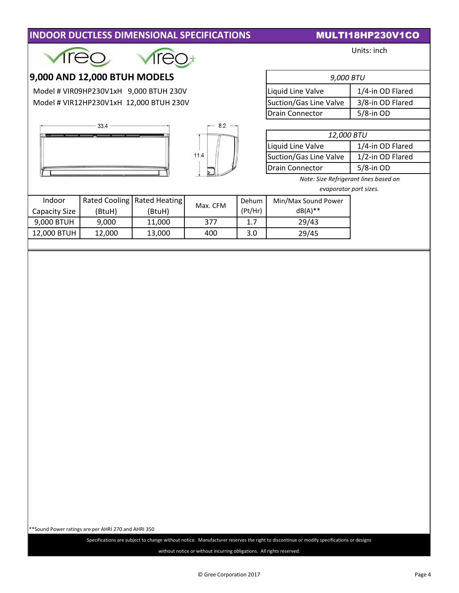| <b>INDOOR DUCTLESS DIMENSIONAL SPECIFICATIONS</b> |
|---------------------------------------------------|
|---------------------------------------------------|

## **INULTI18HP230V1CO**

|                               |                              |                                         |          |                        |                                                                 | Units: inch      |  |
|-------------------------------|------------------------------|-----------------------------------------|----------|------------------------|-----------------------------------------------------------------|------------------|--|
|                               | 9,000 AND 12,000 BTUH MODELS |                                         |          |                        | 9,000 BTU                                                       |                  |  |
|                               |                              | Model # VIR09HP230V1xH 9,000 BTUH 230V  |          |                        | Liquid Line Valve                                               | 1/4-in OD Flared |  |
|                               |                              | Model # VIR12HP230V1xH 12,000 BTUH 230V |          |                        | Suction/Gas Line Valve<br>3/8-in OD Flared                      |                  |  |
|                               |                              |                                         |          |                        | <b>Drain Connector</b>                                          | $5/8$ -in OD     |  |
|                               | 33.4                         |                                         | $8.2 -$  |                        |                                                                 |                  |  |
|                               |                              |                                         |          |                        | 12,000 BTU                                                      |                  |  |
|                               |                              |                                         |          | Liquid Line Valve      | 1/4-in OD Flared                                                |                  |  |
|                               |                              | 11.4                                    |          | Suction/Gas Line Valve | 1/2-in OD Flared                                                |                  |  |
|                               |                              |                                         |          |                        | $5/8$ -in OD<br><b>Drain Connector</b>                          |                  |  |
|                               |                              |                                         |          |                        | Note: Size Refrigerant lines based on<br>evaporator port sizes. |                  |  |
| Indoor                        |                              | Rated Cooling   Rated Heating           |          | Dehum                  | Min/Max Sound Power                                             |                  |  |
| <b>Capacity Size</b>          | (BtuH)                       | (BtuH)                                  | Max. CFM | (Pt/Hr)                | $dB(A)$ **                                                      |                  |  |
| 9,000 BTUH<br>9,000<br>11,000 |                              | 377                                     | 1.7      | 29/43                  |                                                                 |                  |  |
| 12,000 BTUH                   | 12,000                       | 13,000                                  | 400      | 3.0                    | 29/45                                                           |                  |  |
|                               |                              |                                         |          |                        |                                                                 |                  |  |
|                               |                              |                                         |          |                        |                                                                 |                  |  |
|                               |                              |                                         |          |                        |                                                                 |                  |  |

\*\*Sound Power ratings are per AHRI 270 and AHRI 350

without notice or without incurring obligations. All rights reserved. Specifications are subject to change without notice. Manufacturer reserves the right to discontinue or modify specifications or designs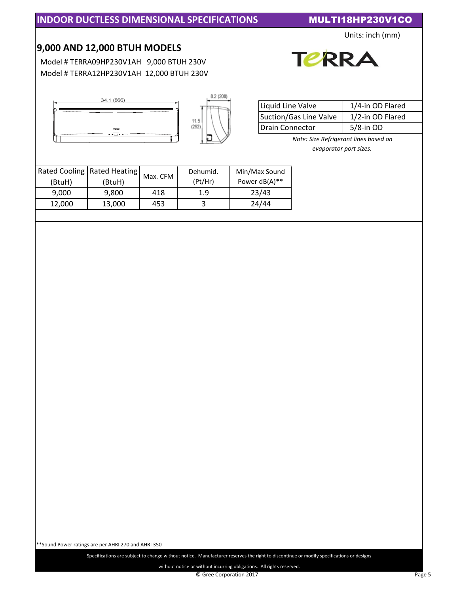Units: inch (mm)

## **9,000 AND 12,000 BTUH MODELS**

34.1 (866)

 Model # TERRA09HP230V1AH 9,000 BTUH 230V Model # TERRA12HP230V1AH 12,000 BTUH 230V



| Liquid Line Valve      | 1/4-in OD Flared |
|------------------------|------------------|
| Suction/Gas Line Valve | 1/2-in OD Flared |
| Drain Connector        | $5/8$ -in OD     |

**TERRA** 

*Note: Size Refrigerant lines based on evaporator port sizes.*

|        | Rated Cooling   Rated Heating | Max. CFM | Dehumid. | Min/Max Sound |
|--------|-------------------------------|----------|----------|---------------|
| (BtuH) | (BtuH)                        |          | (Pt/Hr)  | Power dB(A)** |
| 9.000  | 9.800                         | 418      | 1.9      | 23/43         |
| 12.000 | 13,000                        | 453      |          | 24/44         |
|        |                               |          |          |               |

\*\*Sound Power ratings are per AHRI 270 and AHRI 350

Specifications are subject to change without notice. Manufacturer reserves the right to discontinue or modify specifications or designs

without notice or without incurring obligations. All rights reserved.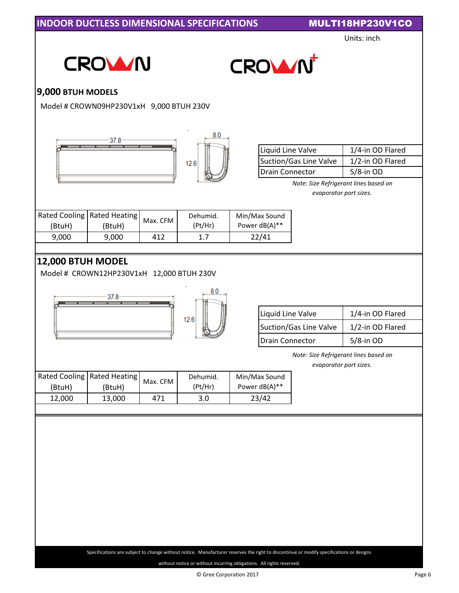Units: inch





# **9,000 BTUH MODELS**

Model # CROWN09HP230V1xH 9,000 BTUH 230V





8.0

| Liquid Line Valve      | 1/4-in OD Flared |  |  |
|------------------------|------------------|--|--|
| Suction/Gas Line Valve | 1/2-in OD Flared |  |  |
| Drain Connector        | $5/8$ -in OD     |  |  |

*Note: Size Refrigerant lines based on evaporator port sizes.*

|        | Rated Cooling   Rated Heating | Max. CFM I | Dehumid. | Min/Max Sound |
|--------|-------------------------------|------------|----------|---------------|
| (BtuH) | (BtuH)                        |            | (Pt/Hr)  | Power dB(A)** |
| 9.000  | 9.000                         | 412        |          | 22/41         |

# **12,000 BTUH MODEL**

Model # CROWN12HP230V1xH 12,000 BTUH 230V





| Liquid Line Valve      | 1/4-in OD Flared |
|------------------------|------------------|
| Suction/Gas Line Valve | 1/2-in OD Flared |
| Drain Connector        | $5/8$ -in OD     |

*Note: Size Refrigerant lines based on*

*evaporator port sizes.*

|        | Rated Cooling   Rated Heating |          | Dehumid. | Min/Max Sound    |
|--------|-------------------------------|----------|----------|------------------|
| (BtuH) | (BtuH)                        | Max. CFM | (Pt/Hr)  | Power $dB(A)$ ** |
| 12.000 | 13.000                        | 471      | 3.0      | 23/42            |

without notice or without incurring obligations. All rights reserved. Specifications are subject to change without notice. Manufacturer reserves the right to discontinue or modify specifications or designs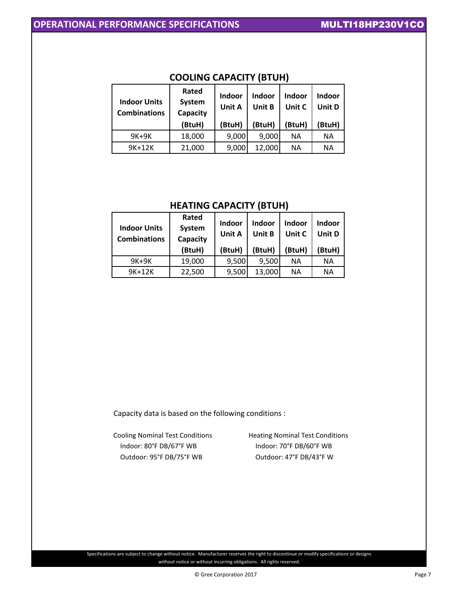| <b>Indoor Units</b><br><b>Combinations</b> | Rated<br>System<br>Capacity | Indoor<br>Unit A | Indoor<br>Unit B | Indoor<br>Unit C | Indoor<br>Unit D |
|--------------------------------------------|-----------------------------|------------------|------------------|------------------|------------------|
|                                            | (BtuH)                      | (BtuH)           | (BtuH)           | (BtuH)           | BtuH)            |
| 9K+9K                                      | 18,000                      | 9,000            | 9,000            | <b>NA</b>        | ΝA               |
| 9K+12K                                     | 21,000                      | 9,000            | 12,000           | <b>NA</b>        | ΝA               |

### **COOLING CAPACITY (BTUH)**

### **HEATING CAPACITY (BTUH)**

| <b>Indoor Units</b><br><b>Combinations</b> | Rated<br>System<br>Capacity | Indoor<br>Unit A | Indoor<br>Unit B | Indoor<br>Unit C | <b>Indoor</b><br>Unit D |
|--------------------------------------------|-----------------------------|------------------|------------------|------------------|-------------------------|
|                                            | (BtuH)                      | (BtuH)           | (BtuH)           | (BtuH)           | (BtuH)                  |
| $9K+9K$                                    | 19,000                      | 9,500            | 9,500            | <b>NA</b>        | ΝA                      |
| 9K+12K                                     | 22,500                      | 9,500            | 13,000           | <b>NA</b>        | ΝA                      |

Capacity data is based on the following conditions :

Cooling Nominal Test Conditions **Heating Nominal Test Conditions**  Indoor: 80°F DB/67°F WB Indoor: 70°F DB/60°F WB Outdoor: 95°F DB/75°F WB Outdoor: 47°F DB/43°F W

Specifications are subject to change without notice. Manufacturer reserves the right to discontinue or modify specifications or designs without notice or without incurring obligations. All rights reserved.